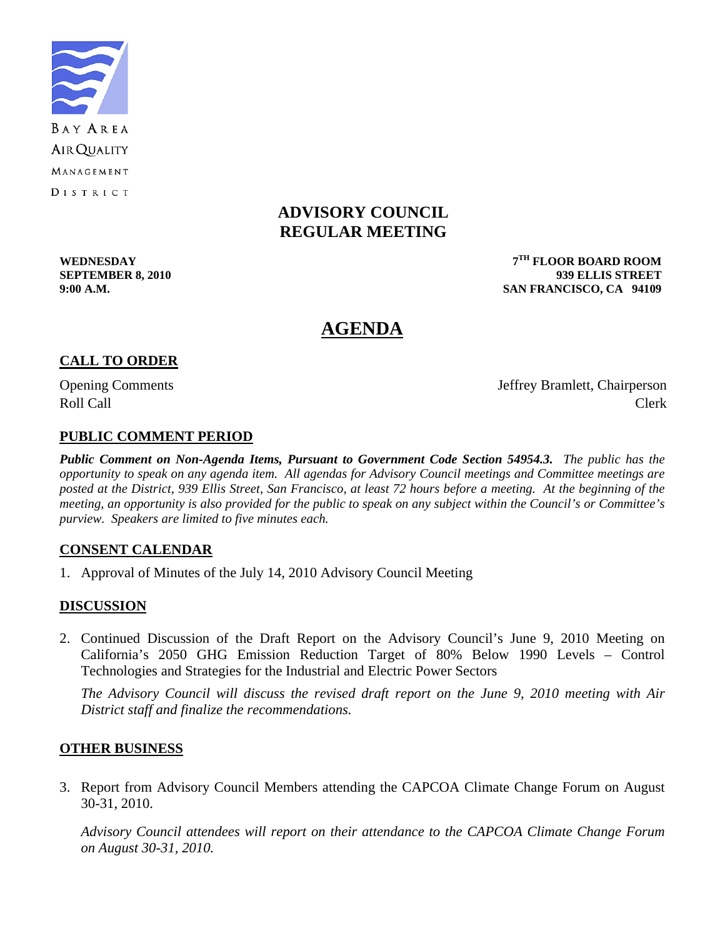

# **ADVISORY COUNCIL REGULAR MEETING**

**WEDNESDAY 7TH FLOOR BOARD ROOM SEPTEMBER 8, 2010 939 ELLIS STREET 9:00 A.M. SAN FRANCISCO, CA 94109** 

# **AGENDA**

# **CALL TO ORDER**

Opening Comments Jeffrey Bramlett, Chairperson Roll Call Call Contract Clerk

# **PUBLIC COMMENT PERIOD**

*Public Comment on Non-Agenda Items, Pursuant to Government Code Section 54954.3. The public has the opportunity to speak on any agenda item. All agendas for Advisory Council meetings and Committee meetings are posted at the District, 939 Ellis Street, San Francisco, at least 72 hours before a meeting. At the beginning of the meeting, an opportunity is also provided for the public to speak on any subject within the Council's or Committee's purview. Speakers are limited to five minutes each.*

#### **CONSENT CALENDAR**

1. Approval of Minutes of the July 14, 2010 Advisory Council Meeting

# **DISCUSSION**

2. Continued Discussion of the Draft Report on the Advisory Council's June 9, 2010 Meeting on California's 2050 GHG Emission Reduction Target of 80% Below 1990 Levels – Control Technologies and Strategies for the Industrial and Electric Power Sectors

 *The Advisory Council will discuss the revised draft report on the June 9, 2010 meeting with Air District staff and finalize the recommendations.* 

#### **OTHER BUSINESS**

3. Report from Advisory Council Members attending the CAPCOA Climate Change Forum on August 30-31, 2010.

*Advisory Council attendees will report on their attendance to the CAPCOA Climate Change Forum on August 30-31, 2010.*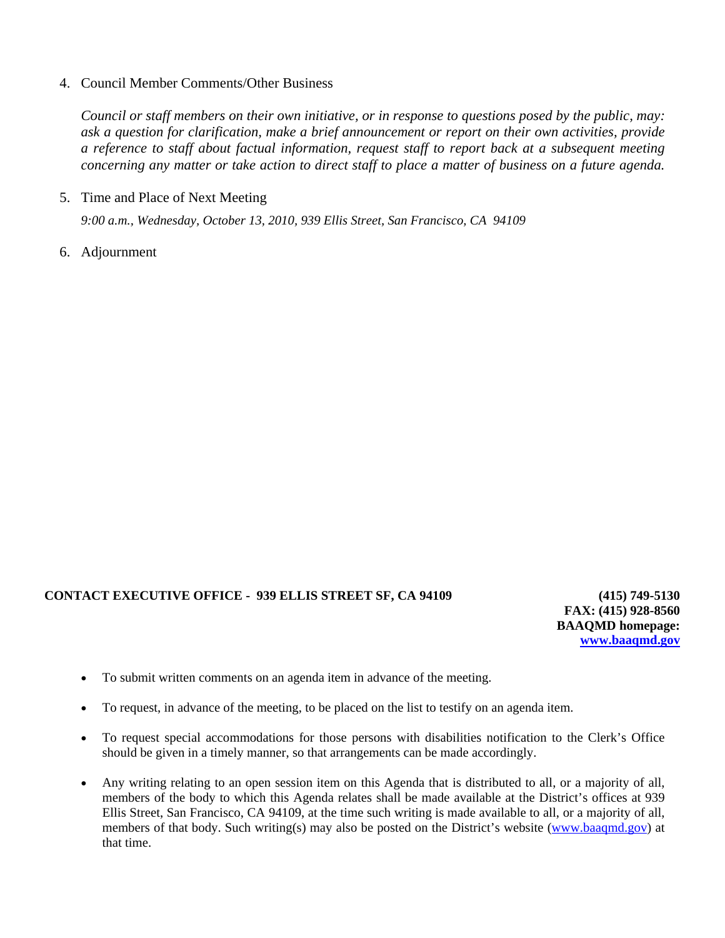#### 4. Council Member Comments/Other Business

*Council or staff members on their own initiative, or in response to questions posed by the public, may: ask a question for clarification, make a brief announcement or report on their own activities, provide a reference to staff about factual information, request staff to report back at a subsequent meeting concerning any matter or take action to direct staff to place a matter of business on a future agenda.* 

5. Time and Place of Next Meeting

 *9:00 a.m., Wednesday, October 13, 2010, 939 Ellis Street, San Francisco, CA 94109* 

6. Adjournment

#### **CONTACT EXECUTIVE OFFICE - 939 ELLIS STREET SF, CA 94109 (415) 749-5130**

**FAX: (415) 928-8560 BAAQMD homepage: [www.baaqmd.gov](http://www.baaqmd.gov/)**

- To submit written comments on an agenda item in advance of the meeting.
- To request, in advance of the meeting, to be placed on the list to testify on an agenda item.
- To request special accommodations for those persons with disabilities notification to the Clerk's Office should be given in a timely manner, so that arrangements can be made accordingly.
- Any writing relating to an open session item on this Agenda that is distributed to all, or a majority of all, members of the body to which this Agenda relates shall be made available at the District's offices at 939 Ellis Street, San Francisco, CA 94109, at the time such writing is made available to all, or a majority of all, members of that body. Such writing(s) may also be posted on the District's website [\(www.baaqmd.gov\)](http://www.baaqmd.gov/) at that time.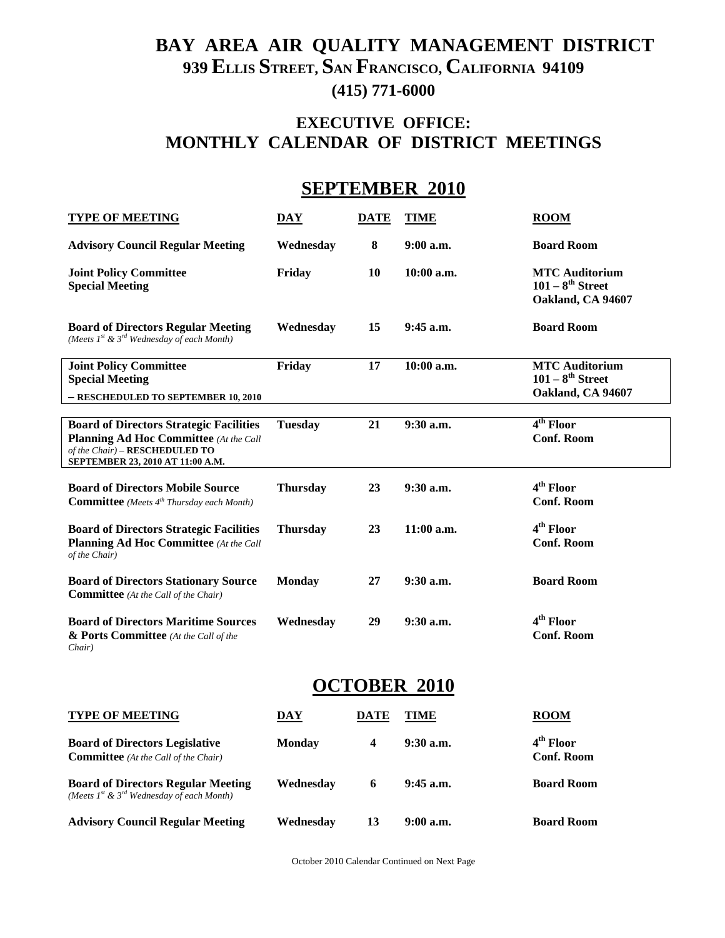# **BAY AREA AIR QUALITY MANAGEMENT DISTRICT 939 ELLIS STREET, SAN FRANCISCO, CALIFORNIA 94109 (415) 771-6000**

# **EXECUTIVE OFFICE: MONTHLY CALENDAR OF DISTRICT MEETINGS**

# **SEPTEMBER 2010**

| <b>TYPE OF MEETING</b>                                                                                                                                                | <b>DAY</b>      | <b>DATE</b> | <b>TIME</b>  | $_{\text{ROM}}$                                                     |
|-----------------------------------------------------------------------------------------------------------------------------------------------------------------------|-----------------|-------------|--------------|---------------------------------------------------------------------|
| <b>Advisory Council Regular Meeting</b>                                                                                                                               | Wednesday       | 8           | $9:00$ a.m.  | <b>Board Room</b>                                                   |
| <b>Joint Policy Committee</b><br><b>Special Meeting</b>                                                                                                               | Friday          | 10          | 10:00 a.m.   | <b>MTC</b> Auditorium<br>$101 - 8^{th}$ Street<br>Oakland, CA 94607 |
| <b>Board of Directors Regular Meeting</b><br>(Meets $I^{st}$ & $3^{rd}$ Wednesday of each Month)                                                                      | Wednesday       | 15          | 9:45 a.m.    | <b>Board Room</b>                                                   |
| <b>Joint Policy Committee</b><br><b>Special Meeting</b>                                                                                                               | Friday          | 17          | 10:00 a.m.   | <b>MTC Auditorium</b><br>$101 - 8^{th}$ Street                      |
| - RESCHEDULED TO SEPTEMBER 10, 2010                                                                                                                                   |                 |             |              | Oakland, CA 94607                                                   |
| <b>Board of Directors Strategic Facilities</b><br><b>Planning Ad Hoc Committee</b> (At the Call<br>of the Chair) - RESCHEDULED TO<br>SEPTEMBER 23, 2010 AT 11:00 A.M. | <b>Tuesday</b>  | 21          | 9:30 a.m.    | 4 <sup>th</sup> Floor<br><b>Conf. Room</b>                          |
| <b>Board of Directors Mobile Source</b><br><b>Committee</b> (Meets 4 <sup>th</sup> Thursday each Month)                                                               | <b>Thursday</b> | 23          | 9:30 a.m.    | 4 <sup>th</sup> Floor<br><b>Conf. Room</b>                          |
| <b>Board of Directors Strategic Facilities</b><br><b>Planning Ad Hoc Committee</b> (At the Call<br>of the Chair)                                                      | <b>Thursday</b> | 23          | $11:00$ a.m. | 4 <sup>th</sup> Floor<br><b>Conf. Room</b>                          |
| <b>Board of Directors Stationary Source</b><br><b>Committee</b> (At the Call of the Chair)                                                                            | <b>Monday</b>   | 27          | 9:30 a.m.    | <b>Board Room</b>                                                   |
| <b>Board of Directors Maritime Sources</b><br>& Ports Committee (At the Call of the<br>Chair)                                                                         | Wednesday       | 29          | 9:30 a.m.    | 4 <sup>th</sup> Floor<br><b>Conf. Room</b>                          |
| <b>OCTOBER 2010</b>                                                                                                                                                   |                 |             |              |                                                                     |
| <b>TYPE OF MEETING</b>                                                                                                                                                | <u>DAY</u>      | <b>DATE</b> | <b>TIME</b>  | <b>ROOM</b>                                                         |
| <b>Board of Directors Legislative</b><br><b>Committee</b> (At the Call of the Chair)                                                                                  | <b>Monday</b>   | 4           | $9:30$ a.m.  | 4 <sup>th</sup> Floor<br><b>Conf. Room</b>                          |
| <b>Board of Directors Regular Meeting</b><br>(Meets $I^{st}$ & $3^{rd}$ Wednesday of each Month)                                                                      | Wednesday       | 6           | 9:45 a.m.    | <b>Board Room</b>                                                   |
| <b>Advisory Council Regular Meeting</b>                                                                                                                               | Wednesday       | 13          | 9:00 a.m.    | <b>Board Room</b>                                                   |

October 2010 Calendar Continued on Next Page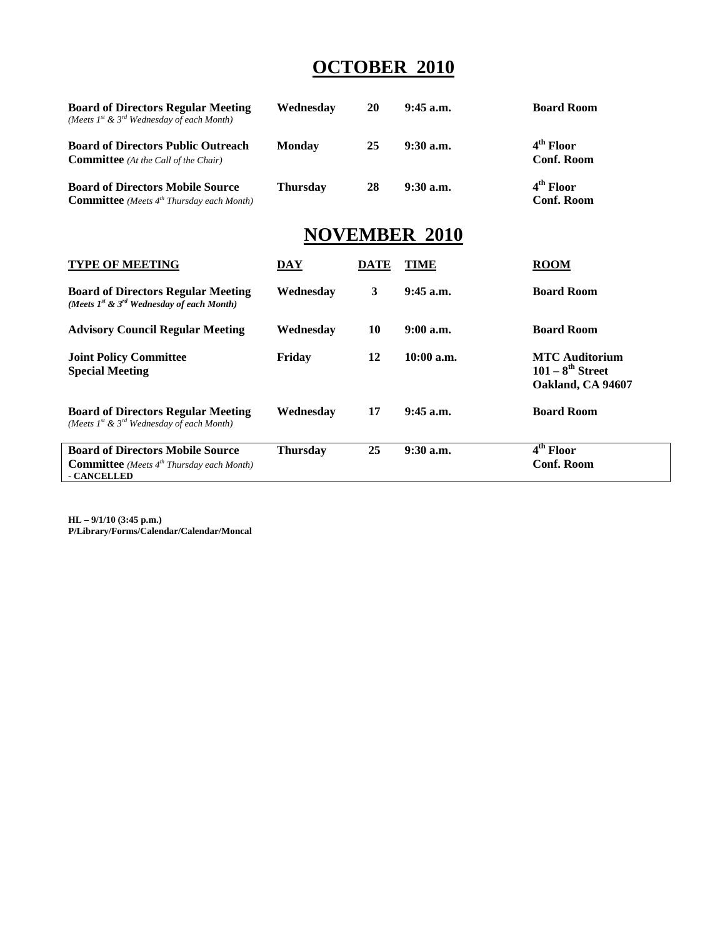# **OCTOBER 2010**

| <b>Board of Directors Regular Meeting</b><br>(Meets $I^{st}$ & $3^{rd}$ Wednesday of each Month) | Wednesdav       | 20          | $9:45$ a.m.          | <b>Board Room</b>                          |
|--------------------------------------------------------------------------------------------------|-----------------|-------------|----------------------|--------------------------------------------|
| <b>Board of Directors Public Outreach</b><br><b>Committee</b> (At the Call of the Chair)         | <b>Monday</b>   | 25          | $9:30$ a.m.          | $4th$ Floor<br><b>Conf. Room</b>           |
| <b>Board of Directors Mobile Source</b><br><b>Committee</b> (Meets $4^{th}$ Thursday each Month) | <b>Thursday</b> | 28          | $9:30$ a.m.          | 4 <sup>th</sup> Floor<br><b>Conf. Room</b> |
|                                                                                                  |                 |             | <b>NOVEMBER 2010</b> |                                            |
| <b>TYPE OF MEETING</b>                                                                           | DAY             | <b>DATE</b> | TIME                 | <b>ROOM</b>                                |
| <b>Board of Directors Regular Meeting</b>                                                        | Wednesdav       | 3           | $9:45$ a.m.          | <b>Board Room</b>                          |

| (Meets $I^{st}$ & $3^{rd}$ Wednesday of each Month)                                                             |                 |    |              |                                                                     |
|-----------------------------------------------------------------------------------------------------------------|-----------------|----|--------------|---------------------------------------------------------------------|
| <b>Advisory Council Regular Meeting</b>                                                                         | Wednesday       | 10 | $9:00$ a.m.  | <b>Board Room</b>                                                   |
| <b>Joint Policy Committee</b><br><b>Special Meeting</b>                                                         | Friday          | 12 | $10:00$ a.m. | <b>MTC</b> Auditorium<br>$101 - 8^{th}$ Street<br>Oakland, CA 94607 |
| <b>Board of Directors Regular Meeting</b><br>(Meets $I^{st}$ & $3^{rd}$ Wednesday of each Month)                | Wednesdav       | 17 | $9:45$ a.m.  | <b>Board Room</b>                                                   |
| <b>Board of Directors Mobile Source</b><br><b>Committee</b> (Meets $4^{th}$ Thursday each Month)<br>- CANCELLED | <b>Thursday</b> | 25 | $9:30$ a.m.  | 4 <sup>th</sup> Floor<br><b>Conf. Room</b>                          |

**HL – 9/1/10 (3:45 p.m.) P/Library/Forms/Calendar/Calendar/Moncal**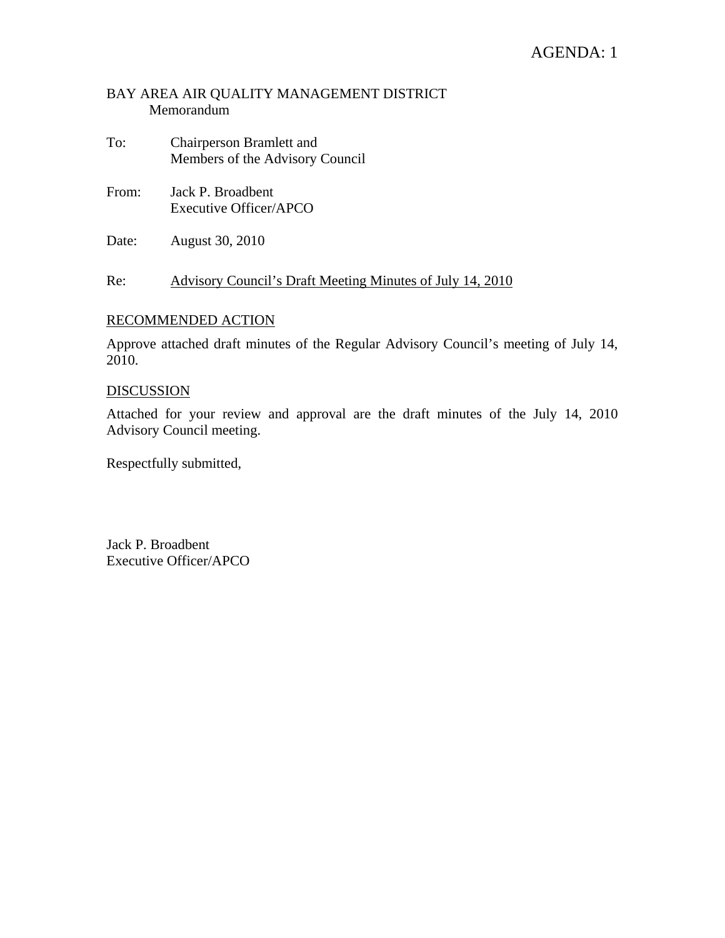# AGENDA: 1

### BAY AREA AIR QUALITY MANAGEMENT DISTRICT Memorandum

- To: Chairperson Bramlett and Members of the Advisory Council
- From: Jack P. Broadbent Executive Officer/APCO
- Date: August 30, 2010

Re: Advisory Council's Draft Meeting Minutes of July 14, 2010

#### RECOMMENDED ACTION

Approve attached draft minutes of the Regular Advisory Council's meeting of July 14, 2010.

#### DISCUSSION

Attached for your review and approval are the draft minutes of the July 14, 2010 Advisory Council meeting.

Respectfully submitted,

Jack P. Broadbent Executive Officer/APCO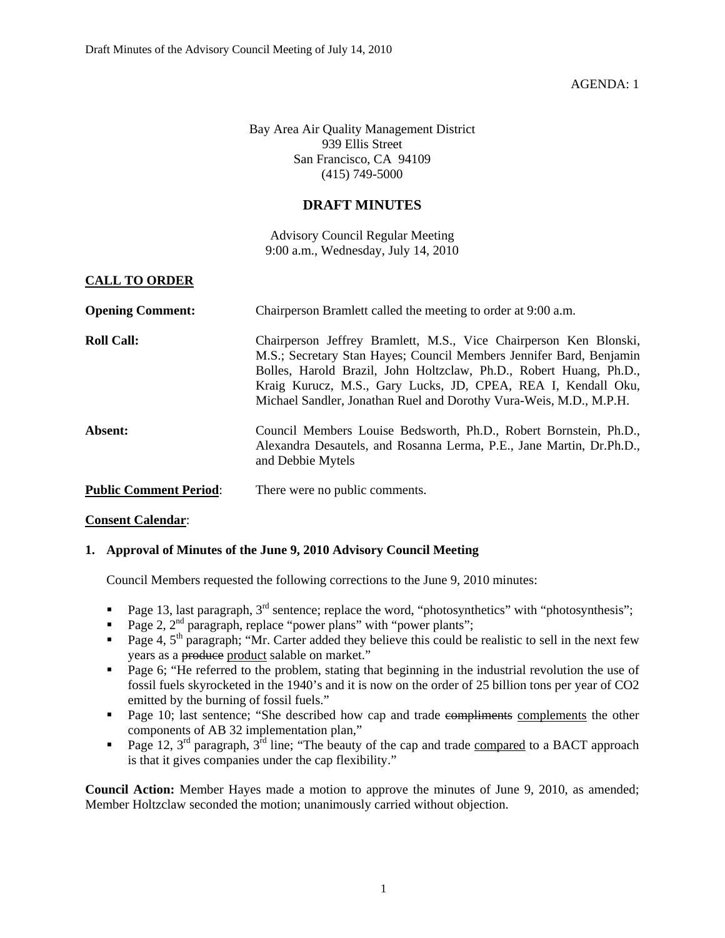AGENDA: 1

Bay Area Air Quality Management District 939 Ellis Street San Francisco, CA 94109 (415) 749-5000

#### **DRAFT MINUTES**

Advisory Council Regular Meeting 9:00 a.m., Wednesday, July 14, 2010

#### **CALL TO ORDER**

| <b>Opening Comment:</b>       | Chairperson Bramlett called the meeting to order at 9:00 a.m.                                                                                                                                                                                                                                                                                         |
|-------------------------------|-------------------------------------------------------------------------------------------------------------------------------------------------------------------------------------------------------------------------------------------------------------------------------------------------------------------------------------------------------|
| <b>Roll Call:</b>             | Chairperson Jeffrey Bramlett, M.S., Vice Chairperson Ken Blonski,<br>M.S.; Secretary Stan Hayes; Council Members Jennifer Bard, Benjamin<br>Bolles, Harold Brazil, John Holtzclaw, Ph.D., Robert Huang, Ph.D.,<br>Kraig Kurucz, M.S., Gary Lucks, JD, CPEA, REA I, Kendall Oku,<br>Michael Sandler, Jonathan Ruel and Dorothy Vura-Weis, M.D., M.P.H. |
| Absent:                       | Council Members Louise Bedsworth, Ph.D., Robert Bornstein, Ph.D.,<br>Alexandra Desautels, and Rosanna Lerma, P.E., Jane Martin, Dr.Ph.D.,<br>and Debbie Mytels                                                                                                                                                                                        |
| <b>Public Comment Period:</b> | There were no public comments.                                                                                                                                                                                                                                                                                                                        |

#### **Consent Calendar**:

#### **1. Approval of Minutes of the June 9, 2010 Advisory Council Meeting**

Council Members requested the following corrections to the June 9, 2010 minutes:

- Page 13, last paragraph,  $3<sup>rd</sup>$  sentence; replace the word, "photosynthetics" with "photosynthesis";
- Page 2,  $2<sup>nd</sup>$  paragraph, replace "power plans" with "power plants";
- Page 4,  $5<sup>th</sup>$  paragraph; "Mr. Carter added they believe this could be realistic to sell in the next few years as a produce product salable on market."
- **Page 6; "He referred to the problem, stating that beginning in the industrial revolution the use of** fossil fuels skyrocketed in the 1940's and it is now on the order of 25 billion tons per year of CO2 emitted by the burning of fossil fuels."
- Page 10; last sentence; "She described how cap and trade compliments complements the other components of AB 32 implementation plan,"
- Page 12,  $3^{rd}$  paragraph,  $3^{rd}$  line; "The beauty of the cap and trade compared to a BACT approach is that it gives companies under the cap flexibility."

**Council Action:** Member Hayes made a motion to approve the minutes of June 9, 2010, as amended; Member Holtzclaw seconded the motion; unanimously carried without objection.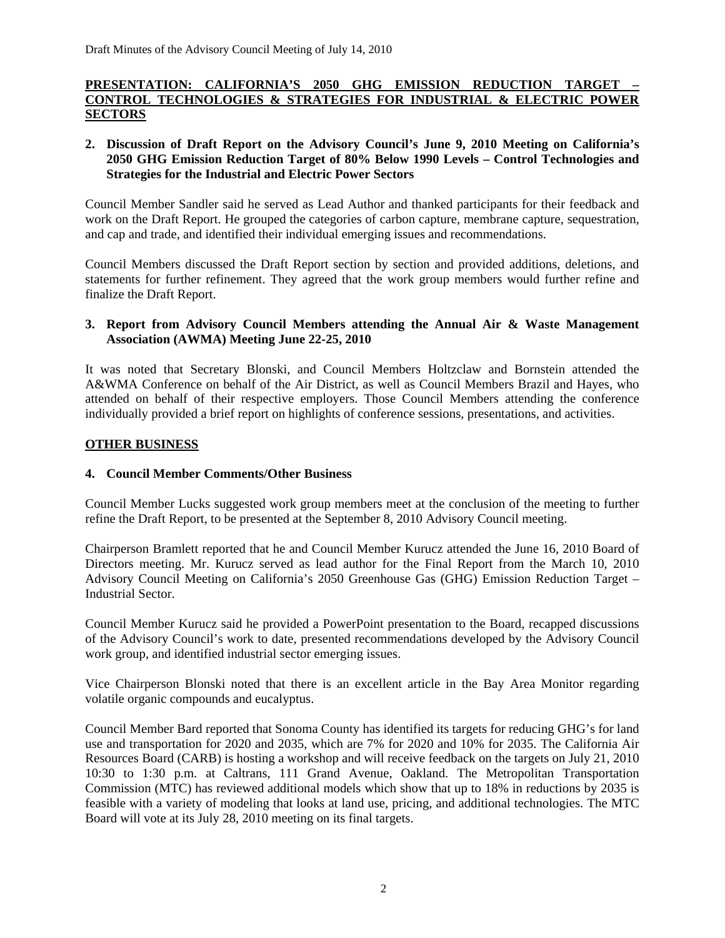#### **PRESENTATION: CALIFORNIA'S 2050 GHG EMISSION REDUCTION TARGET – CONTROL TECHNOLOGIES & STRATEGIES FOR INDUSTRIAL & ELECTRIC POWER SECTORS**

#### **2. Discussion of Draft Report on the Advisory Council's June 9, 2010 Meeting on California's 2050 GHG Emission Reduction Target of 80% Below 1990 Levels – Control Technologies and Strategies for the Industrial and Electric Power Sectors**

Council Member Sandler said he served as Lead Author and thanked participants for their feedback and work on the Draft Report. He grouped the categories of carbon capture, membrane capture, sequestration, and cap and trade, and identified their individual emerging issues and recommendations.

Council Members discussed the Draft Report section by section and provided additions, deletions, and statements for further refinement. They agreed that the work group members would further refine and finalize the Draft Report.

#### **3. Report from Advisory Council Members attending the Annual Air & Waste Management Association (AWMA) Meeting June 22-25, 2010**

It was noted that Secretary Blonski, and Council Members Holtzclaw and Bornstein attended the A&WMA Conference on behalf of the Air District, as well as Council Members Brazil and Hayes, who attended on behalf of their respective employers. Those Council Members attending the conference individually provided a brief report on highlights of conference sessions, presentations, and activities.

#### **OTHER BUSINESS**

#### **4. Council Member Comments/Other Business**

Council Member Lucks suggested work group members meet at the conclusion of the meeting to further refine the Draft Report, to be presented at the September 8, 2010 Advisory Council meeting.

Chairperson Bramlett reported that he and Council Member Kurucz attended the June 16, 2010 Board of Directors meeting. Mr. Kurucz served as lead author for the Final Report from the March 10, 2010 Advisory Council Meeting on California's 2050 Greenhouse Gas (GHG) Emission Reduction Target – Industrial Sector.

Council Member Kurucz said he provided a PowerPoint presentation to the Board, recapped discussions of the Advisory Council's work to date, presented recommendations developed by the Advisory Council work group, and identified industrial sector emerging issues.

Vice Chairperson Blonski noted that there is an excellent article in the Bay Area Monitor regarding volatile organic compounds and eucalyptus.

Council Member Bard reported that Sonoma County has identified its targets for reducing GHG's for land use and transportation for 2020 and 2035, which are 7% for 2020 and 10% for 2035. The California Air Resources Board (CARB) is hosting a workshop and will receive feedback on the targets on July 21, 2010 10:30 to 1:30 p.m. at Caltrans, 111 Grand Avenue, Oakland. The Metropolitan Transportation Commission (MTC) has reviewed additional models which show that up to 18% in reductions by 2035 is feasible with a variety of modeling that looks at land use, pricing, and additional technologies. The MTC Board will vote at its July 28, 2010 meeting on its final targets.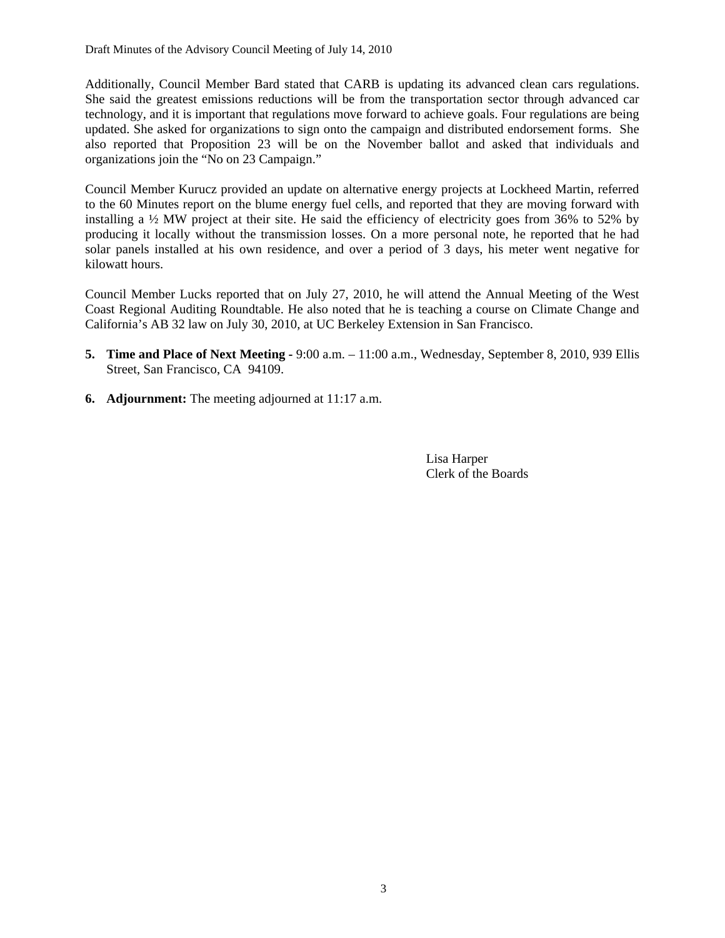Additionally, Council Member Bard stated that CARB is updating its advanced clean cars regulations. She said the greatest emissions reductions will be from the transportation sector through advanced car technology, and it is important that regulations move forward to achieve goals. Four regulations are being updated. She asked for organizations to sign onto the campaign and distributed endorsement forms. She also reported that Proposition 23 will be on the November ballot and asked that individuals and organizations join the "No on 23 Campaign."

Council Member Kurucz provided an update on alternative energy projects at Lockheed Martin, referred to the 60 Minutes report on the blume energy fuel cells, and reported that they are moving forward with installing a ½ MW project at their site. He said the efficiency of electricity goes from 36% to 52% by producing it locally without the transmission losses. On a more personal note, he reported that he had solar panels installed at his own residence, and over a period of 3 days, his meter went negative for kilowatt hours.

Council Member Lucks reported that on July 27, 2010, he will attend the Annual Meeting of the West Coast Regional Auditing Roundtable. He also noted that he is teaching a course on Climate Change and California's AB 32 law on July 30, 2010, at UC Berkeley Extension in San Francisco.

- **5. Time and Place of Next Meeting 9:00 a.m.** 11:00 a.m., Wednesday, September 8, 2010, 939 Ellis Street, San Francisco, CA 94109.
- **6. Adjournment:** The meeting adjourned at 11:17 a.m.

 Lisa Harper Clerk of the Boards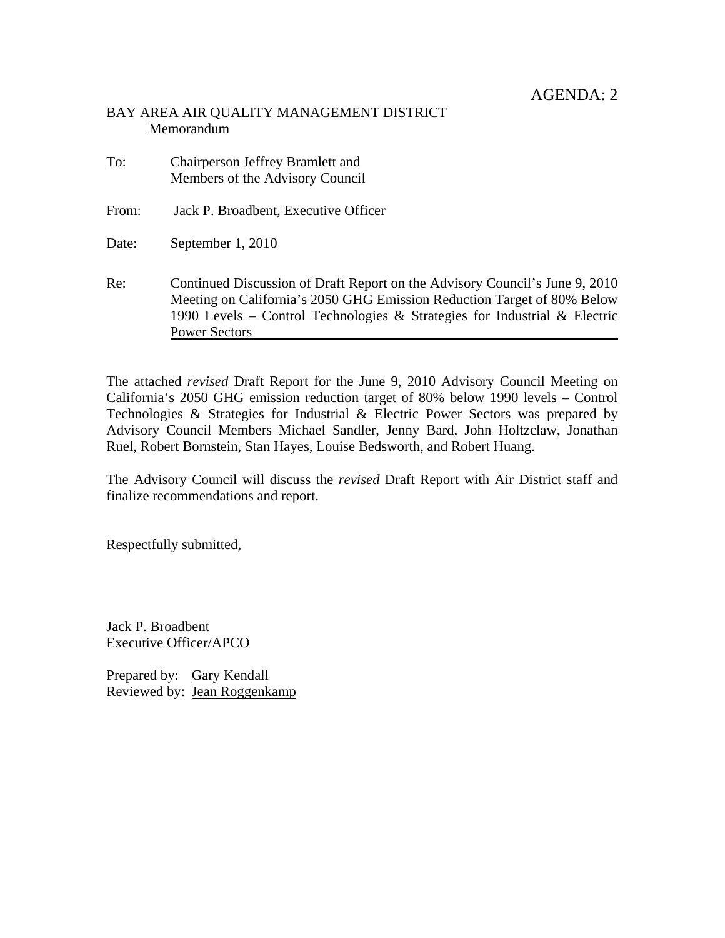# BAY AREA AIR QUALITY MANAGEMENT DISTRICT Memorandum

| To:   | Chairperson Jeffrey Bramlett and<br>Members of the Advisory Council                                                                                                                                                                                         |
|-------|-------------------------------------------------------------------------------------------------------------------------------------------------------------------------------------------------------------------------------------------------------------|
| From: | Jack P. Broadbent, Executive Officer                                                                                                                                                                                                                        |
| Date: | September 1, 2010                                                                                                                                                                                                                                           |
| Re:   | Continued Discussion of Draft Report on the Advisory Council's June 9, 2010<br>Meeting on California's 2050 GHG Emission Reduction Target of 80% Below<br>1990 Levels – Control Technologies & Strategies for Industrial & Electric<br><b>Power Sectors</b> |

The attached *revised* Draft Report for the June 9, 2010 Advisory Council Meeting on California's 2050 GHG emission reduction target of 80% below 1990 levels – Control Technologies & Strategies for Industrial & Electric Power Sectors was prepared by Advisory Council Members Michael Sandler, Jenny Bard, John Holtzclaw, Jonathan Ruel, Robert Bornstein, Stan Hayes, Louise Bedsworth, and Robert Huang.

The Advisory Council will discuss the *revised* Draft Report with Air District staff and finalize recommendations and report.

Respectfully submitted,

Jack P. Broadbent Executive Officer/APCO

Prepared by: Gary Kendall Reviewed by: Jean Roggenkamp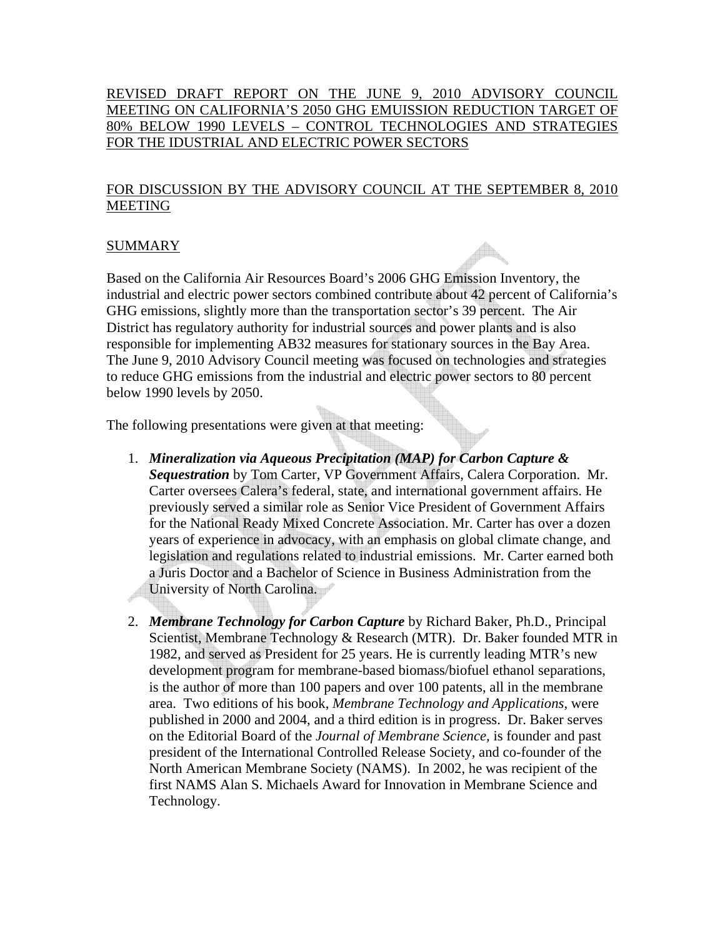# REVISED DRAFT REPORT ON THE JUNE 9, 2010 ADVISORY COUNCIL MEETING ON CALIFORNIA'S 2050 GHG EMUISSION REDUCTION TARGET OF 80% BELOW 1990 LEVELS – CONTROL TECHNOLOGIES AND STRATEGIES FOR THE IDUSTRIAL AND ELECTRIC POWER SECTORS

# FOR DISCUSSION BY THE ADVISORY COUNCIL AT THE SEPTEMBER 8, 2010 MEETING

# SUMMARY

Based on the California Air Resources Board's 2006 GHG Emission Inventory, the industrial and electric power sectors combined contribute about 42 percent of California's GHG emissions, slightly more than the transportation sector's 39 percent. The Air District has regulatory authority for industrial sources and power plants and is also responsible for implementing AB32 measures for stationary sources in the Bay Area. The June 9, 2010 Advisory Council meeting was focused on technologies and strategies to reduce GHG emissions from the industrial and electric power sectors to 80 percent below 1990 levels by 2050.

The following presentations were given at that meeting:

- 1. *Mineralization via Aqueous Precipitation (MAP) for Carbon Capture & Sequestration* by Tom Carter, VP Government Affairs, Calera Corporation. Mr. Carter oversees Calera's federal, state, and international government affairs. He previously served a similar role as Senior Vice President of Government Affairs for the National Ready Mixed Concrete Association. Mr. Carter has over a dozen years of experience in advocacy, with an emphasis on global climate change, and legislation and regulations related to industrial emissions. Mr. Carter earned both a Juris Doctor and a Bachelor of Science in Business Administration from the University of North Carolina.
- 2. *Membrane Technology for Carbon Capture* by Richard Baker, Ph.D., Principal Scientist, Membrane Technology & Research (MTR). Dr. Baker founded MTR in 1982, and served as President for 25 years. He is currently leading MTR's new development program for membrane-based biomass/biofuel ethanol separations, is the author of more than 100 papers and over 100 patents, all in the membrane area. Two editions of his book, *Membrane Technology and Applications*, were published in 2000 and 2004, and a third edition is in progress. Dr. Baker serves on the Editorial Board of the *Journal of Membrane Science,* is founder and past president of the International Controlled Release Society, and co-founder of the North American Membrane Society (NAMS). In 2002, he was recipient of the first NAMS Alan S. Michaels Award for Innovation in Membrane Science and Technology.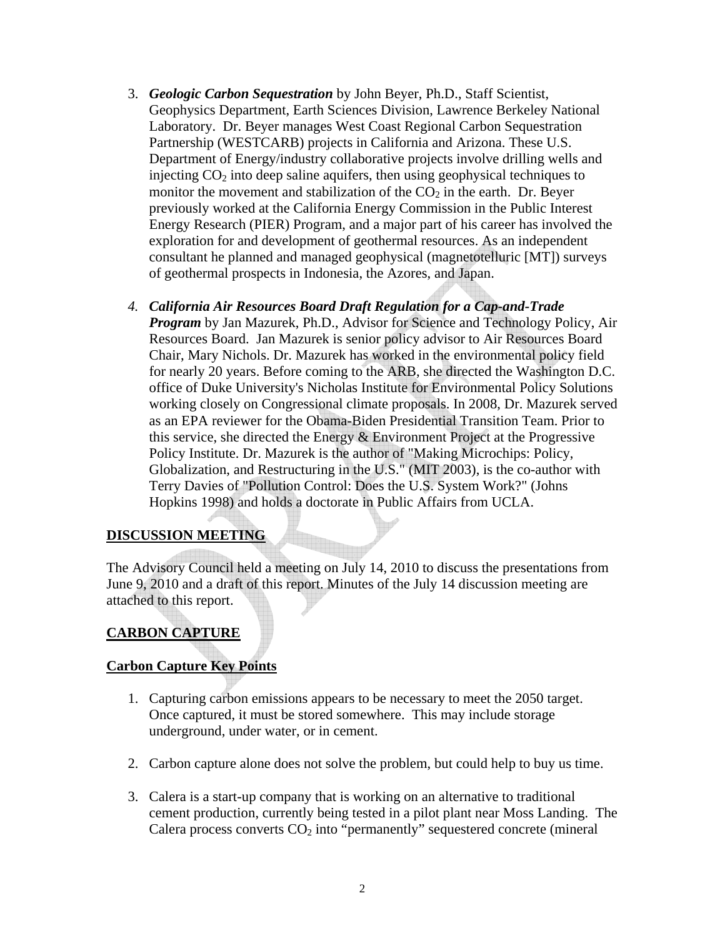- 3. *Geologic Carbon Sequestration* by John Beyer, Ph.D., Staff Scientist, Geophysics Department, Earth Sciences Division, Lawrence Berkeley National Laboratory. Dr. Beyer manages West Coast Regional Carbon Sequestration Partnership (WESTCARB) projects in California and Arizona. These U.S. Department of Energy/industry collaborative projects involve drilling wells and injecting  $CO<sub>2</sub>$  into deep saline aquifers, then using geophysical techniques to monitor the movement and stabilization of the  $CO<sub>2</sub>$  in the earth. Dr. Beyer previously worked at the California Energy Commission in the Public Interest Energy Research (PIER) Program, and a major part of his career has involved the exploration for and development of geothermal resources. As an independent consultant he planned and managed geophysical (magnetotelluric [MT]) surveys of geothermal prospects in Indonesia, the Azores, and Japan.
- *4. California Air Resources Board Draft Regulation for a Cap-and-Trade Program* by Jan Mazurek, Ph.D., Advisor for Science and Technology Policy, Air Resources Board. Jan Mazurek is senior policy advisor to Air Resources Board Chair, Mary Nichols. Dr. Mazurek has worked in the environmental policy field for nearly 20 years. Before coming to the ARB, she directed the Washington D.C. office of Duke University's Nicholas Institute for Environmental Policy Solutions working closely on Congressional climate proposals. In 2008, Dr. Mazurek served as an EPA reviewer for the Obama-Biden Presidential Transition Team. Prior to this service, she directed the Energy & Environment Project at the Progressive Policy Institute. Dr. Mazurek is the author of "Making Microchips: Policy, Globalization, and Restructuring in the U.S." (MIT 2003), is the co-author with Terry Davies of "Pollution Control: Does the U.S. System Work?" (Johns Hopkins 1998) and holds a doctorate in Public Affairs from UCLA.

# **DISCUSSION MEETING**

The Advisory Council held a meeting on July 14, 2010 to discuss the presentations from June 9, 2010 and a draft of this report. Minutes of the July 14 discussion meeting are attached to this report.

# **CARBON CAPTURE**

# **Carbon Capture Key Points**

- 1. Capturing carbon emissions appears to be necessary to meet the 2050 target. Once captured, it must be stored somewhere. This may include storage underground, under water, or in cement.
- 2. Carbon capture alone does not solve the problem, but could help to buy us time.
- 3. Calera is a start-up company that is working on an alternative to traditional cement production, currently being tested in a pilot plant near Moss Landing. The Calera process converts  $CO<sub>2</sub>$  into "permanently" sequestered concrete (mineral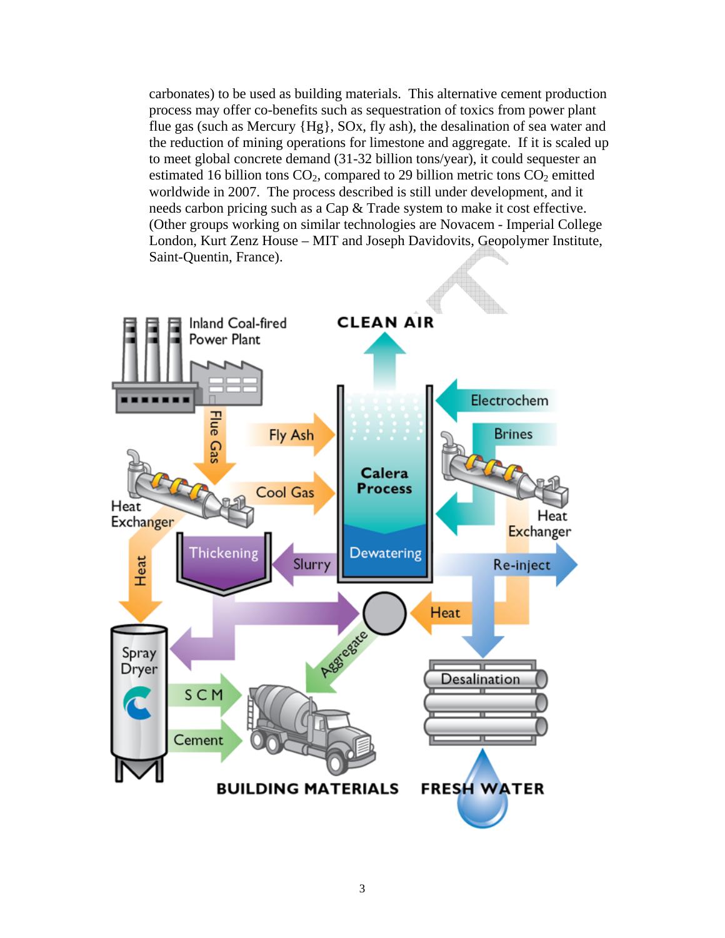carbonates) to be used as building materials. This alternative cement production process may offer co-benefits such as sequestration of toxics from power plant flue gas (such as Mercury {Hg}, SOx, fly ash), the desalination of sea water and the reduction of mining operations for limestone and aggregate. If it is scaled up to meet global concrete demand (31-32 billion tons/year), it could sequester an estimated 16 billion tons  $CO<sub>2</sub>$ , compared to 29 billion metric tons  $CO<sub>2</sub>$  emitted worldwide in 2007. The process described is still under development, and it needs carbon pricing such as a Cap & Trade system to make it cost effective. (Other groups working on similar technologies are Novacem - Imperial College London, Kurt Zenz House – MIT and Joseph Davidovits, Geopolymer Institute, Saint-Quentin, France).

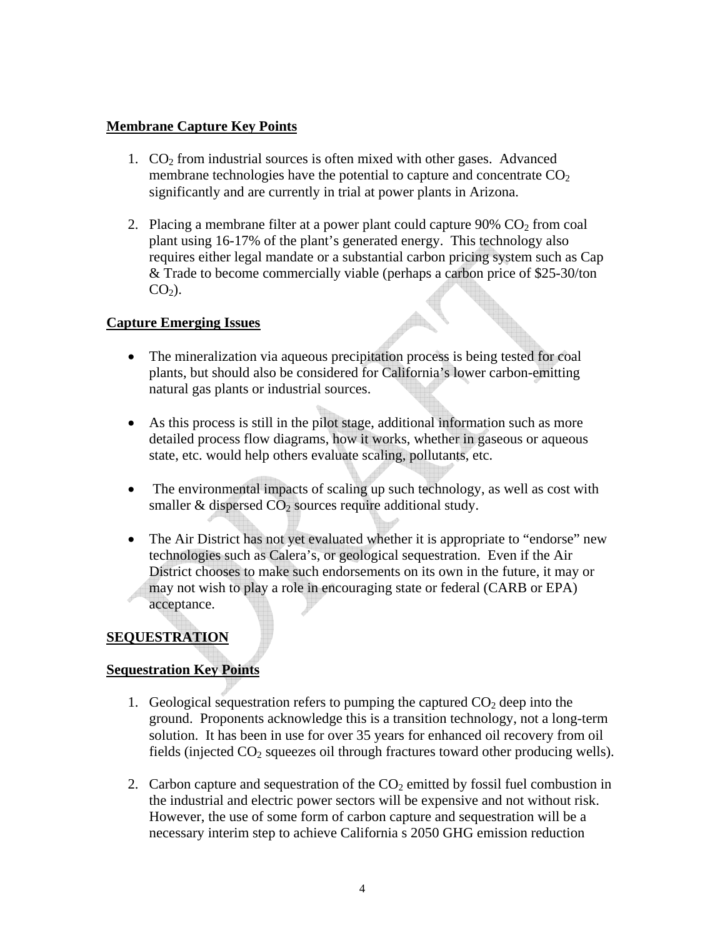# **Membrane Capture Key Points**

- 1.  $CO<sub>2</sub>$  from industrial sources is often mixed with other gases. Advanced membrane technologies have the potential to capture and concentrate  $CO<sub>2</sub>$ significantly and are currently in trial at power plants in Arizona.
- 2. Placing a membrane filter at a power plant could capture  $90\%$  CO<sub>2</sub> from coal plant using 16-17% of the plant's generated energy. This technology also requires either legal mandate or a substantial carbon pricing system such as Cap & Trade to become commercially viable (perhaps a carbon price of \$25-30/ton  $CO<sub>2</sub>$ ).

# **Capture Emerging Issues**

- The mineralization via aqueous precipitation process is being tested for coal plants, but should also be considered for California's lower carbon-emitting natural gas plants or industrial sources.
- As this process is still in the pilot stage, additional information such as more detailed process flow diagrams, how it works, whether in gaseous or aqueous state, etc. would help others evaluate scaling, pollutants, etc.
- The environmental impacts of scaling up such technology, as well as cost with smaller  $&$  dispersed  $CO<sub>2</sub>$  sources require additional study.
- The Air District has not yet evaluated whether it is appropriate to "endorse" new technologies such as Calera's, or geological sequestration. Even if the Air District chooses to make such endorsements on its own in the future, it may or may not wish to play a role in encouraging state or federal (CARB or EPA) acceptance.

# **SEQUESTRATION**

# **Sequestration Key Points**

- 1. Geological sequestration refers to pumping the captured  $CO<sub>2</sub>$  deep into the ground. Proponents acknowledge this is a transition technology, not a long-term solution. It has been in use for over 35 years for enhanced oil recovery from oil fields (injected  $CO<sub>2</sub>$  squeezes oil through fractures toward other producing wells).
- 2. Carbon capture and sequestration of the  $CO<sub>2</sub>$  emitted by fossil fuel combustion in the industrial and electric power sectors will be expensive and not without risk. However, the use of some form of carbon capture and sequestration will be a necessary interim step to achieve California s 2050 GHG emission reduction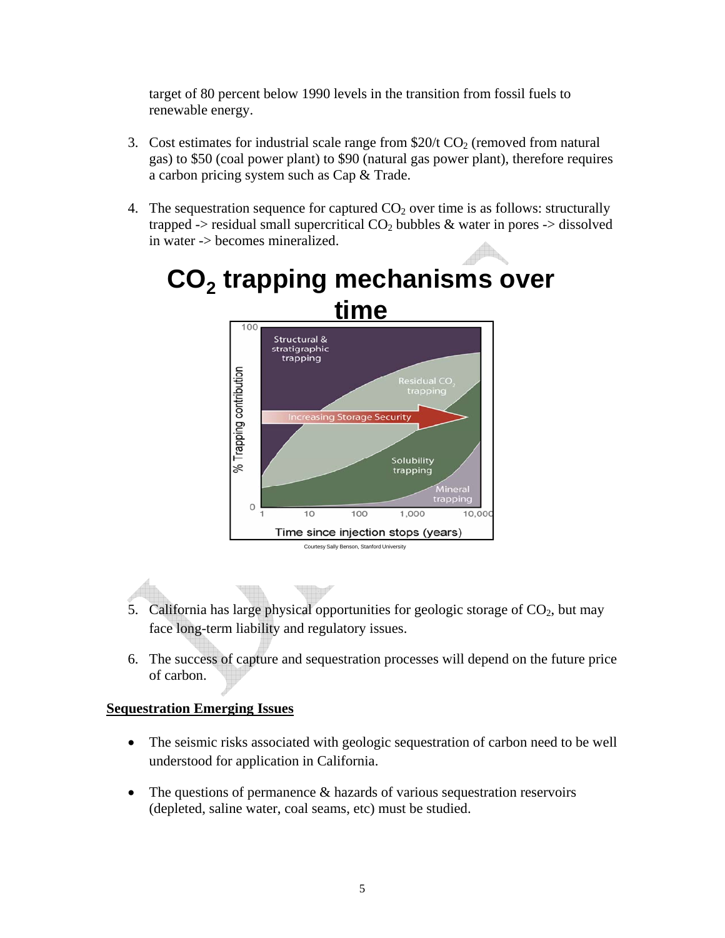target of 80 percent below 1990 levels in the transition from fossil fuels to renewable energy.

- 3. Cost estimates for industrial scale range from  $$20/t$  CO<sub>2</sub> (removed from natural gas) to \$50 (coal power plant) to \$90 (natural gas power plant), therefore requires a carbon pricing system such as Cap & Trade.
- 4. The sequestration sequence for captured  $CO<sub>2</sub>$  over time is as follows: structurally trapped -> residual small supercritical  $CO<sub>2</sub>$  bubbles & water in pores -> dissolved in water -> becomes mineralized.



# CO<sub>2</sub> trapping mechanisms over **time**

- 5. California has large physical opportunities for geologic storage of  $CO<sub>2</sub>$ , but may face long-term liability and regulatory issues.
- 6. The success of capture and sequestration processes will depend on the future price of carbon.

# **Sequestration Emerging Issues**

- The seismic risks associated with geologic sequestration of carbon need to be well understood for application in California.
- The questions of permanence & hazards of various sequestration reservoirs (depleted, saline water, coal seams, etc) must be studied.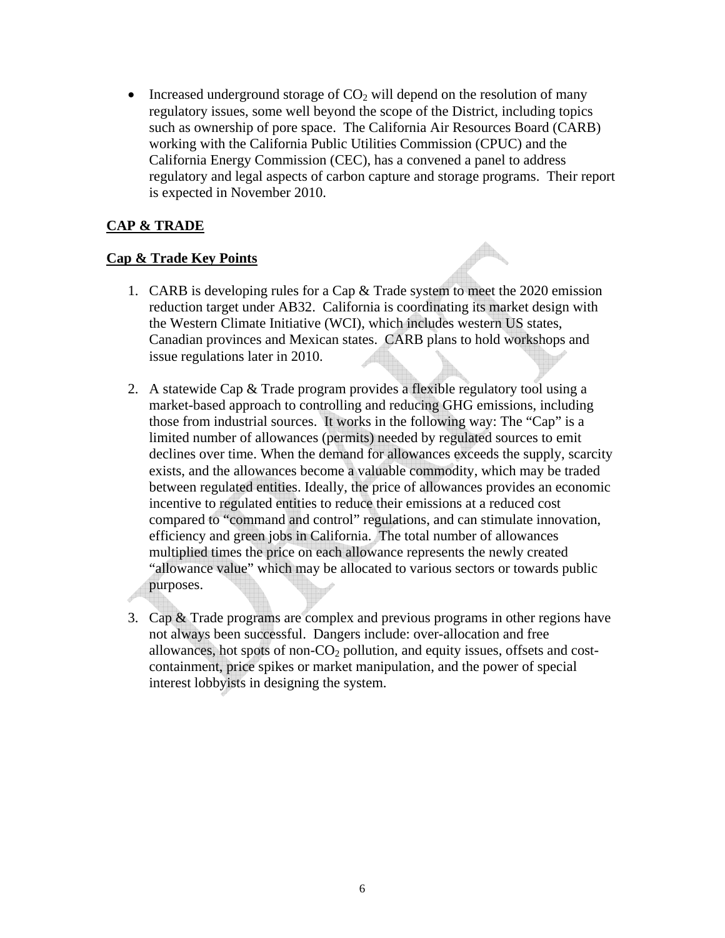• Increased underground storage of  $CO<sub>2</sub>$  will depend on the resolution of many regulatory issues, some well beyond the scope of the District, including topics such as ownership of pore space. The California Air Resources Board (CARB) working with the California Public Utilities Commission (CPUC) and the California Energy Commission (CEC), has a convened a panel to address regulatory and legal aspects of carbon capture and storage programs. Their report is expected in November 2010.

# **CAP & TRADE**

# **Cap & Trade Key Points**

- 1. CARB is developing rules for a Cap & Trade system to meet the 2020 emission reduction target under AB32. California is coordinating its market design with the Western Climate Initiative (WCI), which includes western US states, Canadian provinces and Mexican states. CARB plans to hold workshops and issue regulations later in 2010.
- 2. A statewide Cap & Trade program provides a flexible regulatory tool using a market-based approach to controlling and reducing GHG emissions, including those from industrial sources. It works in the following way: The "Cap" is a limited number of allowances (permits) needed by regulated sources to emit declines over time. When the demand for allowances exceeds the supply, scarcity exists, and the allowances become a valuable commodity, which may be traded between regulated entities. Ideally, the price of allowances provides an economic incentive to regulated entities to reduce their emissions at a reduced cost compared to "command and control" regulations, and can stimulate innovation, efficiency and green jobs in California. The total number of allowances multiplied times the price on each allowance represents the newly created "allowance value" which may be allocated to various sectors or towards public purposes.
- 3. Cap & Trade programs are complex and previous programs in other regions have not always been successful. Dangers include: over-allocation and free allowances, hot spots of non- $CO<sub>2</sub>$  pollution, and equity issues, offsets and costcontainment, price spikes or market manipulation, and the power of special interest lobbyists in designing the system.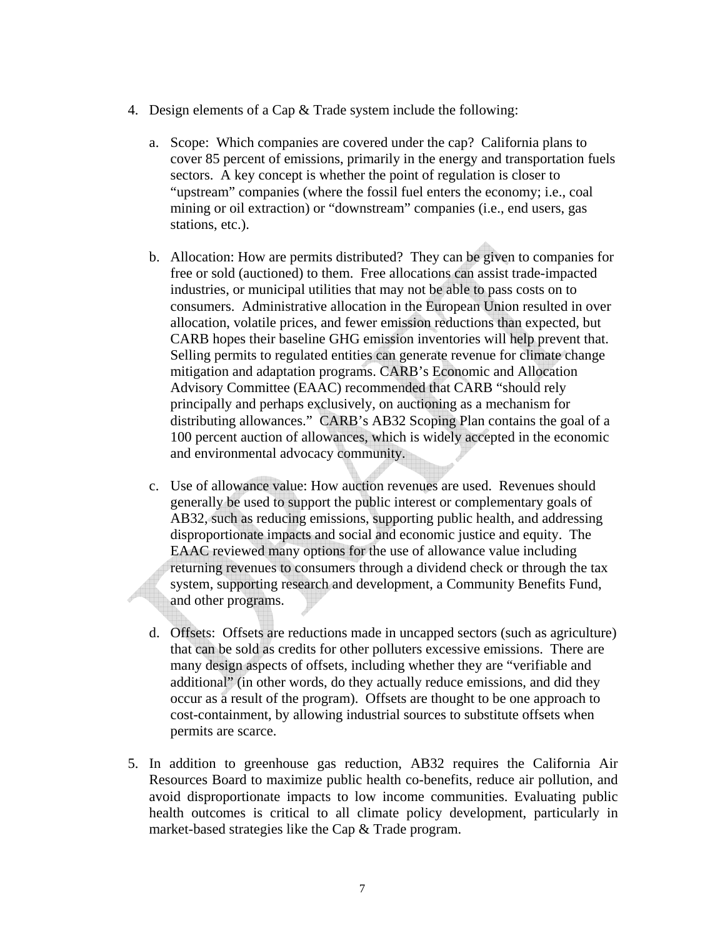- 4. Design elements of a Cap & Trade system include the following:
	- a. Scope: Which companies are covered under the cap? California plans to cover 85 percent of emissions, primarily in the energy and transportation fuels sectors. A key concept is whether the point of regulation is closer to "upstream" companies (where the fossil fuel enters the economy; i.e., coal mining or oil extraction) or "downstream" companies (i.e., end users, gas stations, etc.).
	- b. Allocation: How are permits distributed? They can be given to companies for free or sold (auctioned) to them. Free allocations can assist trade-impacted industries, or municipal utilities that may not be able to pass costs on to consumers. Administrative allocation in the European Union resulted in over allocation, volatile prices, and fewer emission reductions than expected, but CARB hopes their baseline GHG emission inventories will help prevent that. Selling permits to regulated entities can generate revenue for climate change mitigation and adaptation programs. CARB's Economic and Allocation Advisory Committee (EAAC) recommended that CARB "should rely principally and perhaps exclusively, on auctioning as a mechanism for distributing allowances." CARB's AB32 Scoping Plan contains the goal of a 100 percent auction of allowances, which is widely accepted in the economic and environmental advocacy community.
	- c. Use of allowance value: How auction revenues are used. Revenues should generally be used to support the public interest or complementary goals of AB32, such as reducing emissions, supporting public health, and addressing disproportionate impacts and social and economic justice and equity. The EAAC reviewed many options for the use of allowance value including returning revenues to consumers through a dividend check or through the tax system, supporting research and development, a Community Benefits Fund, and other programs.
	- d. Offsets: Offsets are reductions made in uncapped sectors (such as agriculture) that can be sold as credits for other polluters excessive emissions. There are many design aspects of offsets, including whether they are "verifiable and additional" (in other words, do they actually reduce emissions, and did they occur as a result of the program). Offsets are thought to be one approach to cost-containment, by allowing industrial sources to substitute offsets when permits are scarce.
- 5. In addition to greenhouse gas reduction, AB32 requires the California Air Resources Board to maximize public health co-benefits, reduce air pollution, and avoid disproportionate impacts to low income communities. Evaluating public health outcomes is critical to all climate policy development, particularly in market-based strategies like the Cap & Trade program.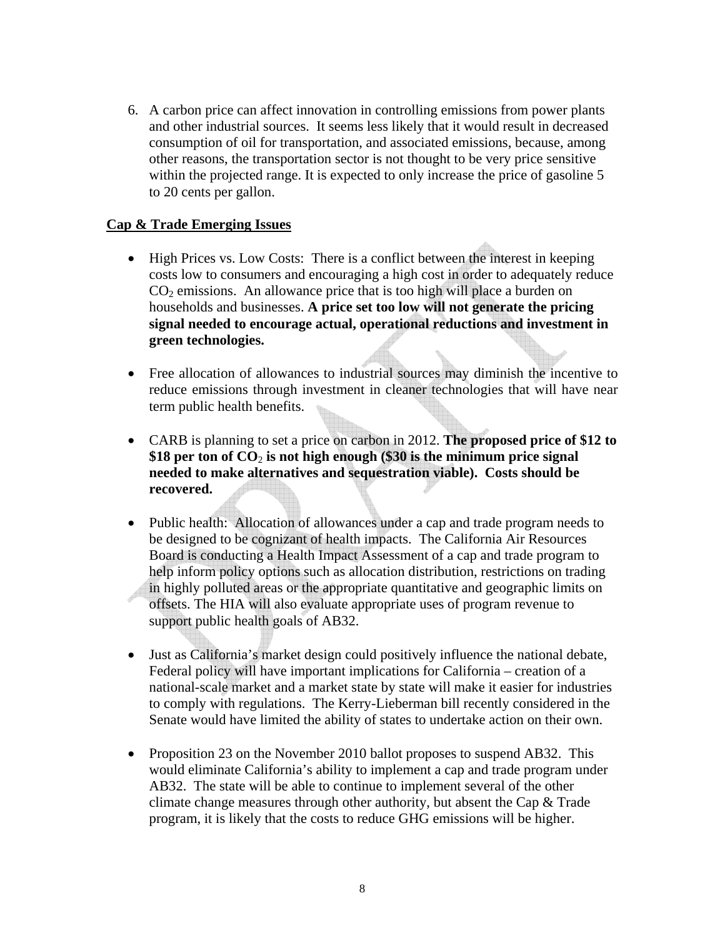6. A carbon price can affect innovation in controlling emissions from power plants and other industrial sources. It seems less likely that it would result in decreased consumption of oil for transportation, and associated emissions, because, among other reasons, the transportation sector is not thought to be very price sensitive within the projected range. It is expected to only increase the price of gasoline 5 to 20 cents per gallon.

### **Cap & Trade Emerging Issues**

- High Prices vs. Low Costs: There is a conflict between the interest in keeping costs low to consumers and encouraging a high cost in order to adequately reduce  $CO<sub>2</sub>$  emissions. An allowance price that is too high will place a burden on households and businesses. **A price set too low will not generate the pricing signal needed to encourage actual, operational reductions and investment in green technologies.**
- Free allocation of allowances to industrial sources may diminish the incentive to reduce emissions through investment in cleaner technologies that will have near term public health benefits.
- CARB is planning to set a price on carbon in 2012. **The proposed price of \$12 to \$18 per ton of CO**2 **is not high enough (\$30 is the minimum price signal needed to make alternatives and sequestration viable). Costs should be recovered.**
- Public health: Allocation of allowances under a cap and trade program needs to be designed to be cognizant of health impacts. The California Air Resources Board is conducting a Health Impact Assessment of a cap and trade program to help inform policy options such as allocation distribution, restrictions on trading in highly polluted areas or the appropriate quantitative and geographic limits on offsets. The HIA will also evaluate appropriate uses of program revenue to support public health goals of AB32.
- Just as California's market design could positively influence the national debate, Federal policy will have important implications for California – creation of a national-scale market and a market state by state will make it easier for industries to comply with regulations. The Kerry-Lieberman bill recently considered in the Senate would have limited the ability of states to undertake action on their own.
- Proposition 23 on the November 2010 ballot proposes to suspend AB32. This would eliminate California's ability to implement a cap and trade program under AB32. The state will be able to continue to implement several of the other climate change measures through other authority, but absent the Cap & Trade program, it is likely that the costs to reduce GHG emissions will be higher.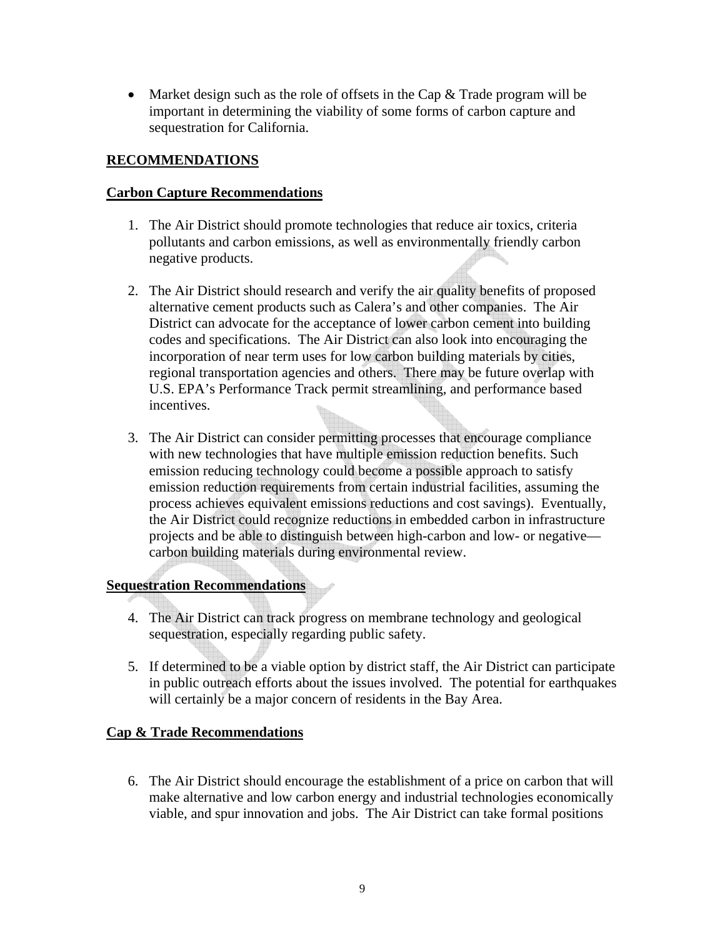• Market design such as the role of offsets in the Cap  $\&$  Trade program will be important in determining the viability of some forms of carbon capture and sequestration for California.

# **RECOMMENDATIONS**

# **Carbon Capture Recommendations**

- 1. The Air District should promote technologies that reduce air toxics, criteria pollutants and carbon emissions, as well as environmentally friendly carbon negative products.
- 2. The Air District should research and verify the air quality benefits of proposed alternative cement products such as Calera's and other companies. The Air District can advocate for the acceptance of lower carbon cement into building codes and specifications. The Air District can also look into encouraging the incorporation of near term uses for low carbon building materials by cities, regional transportation agencies and others. There may be future overlap with U.S. EPA's Performance Track permit streamlining, and performance based incentives.
- 3. The Air District can consider permitting processes that encourage compliance with new technologies that have multiple emission reduction benefits. Such emission reducing technology could become a possible approach to satisfy emission reduction requirements from certain industrial facilities, assuming the process achieves equivalent emissions reductions and cost savings). Eventually, the Air District could recognize reductions in embedded carbon in infrastructure projects and be able to distinguish between high-carbon and low- or negative carbon building materials during environmental review.

# **Sequestration Recommendations**

- 4. The Air District can track progress on membrane technology and geological sequestration, especially regarding public safety.
- 5. If determined to be a viable option by district staff, the Air District can participate in public outreach efforts about the issues involved. The potential for earthquakes will certainly be a major concern of residents in the Bay Area.

# **Cap & Trade Recommendations**

6. The Air District should encourage the establishment of a price on carbon that will make alternative and low carbon energy and industrial technologies economically viable, and spur innovation and jobs. The Air District can take formal positions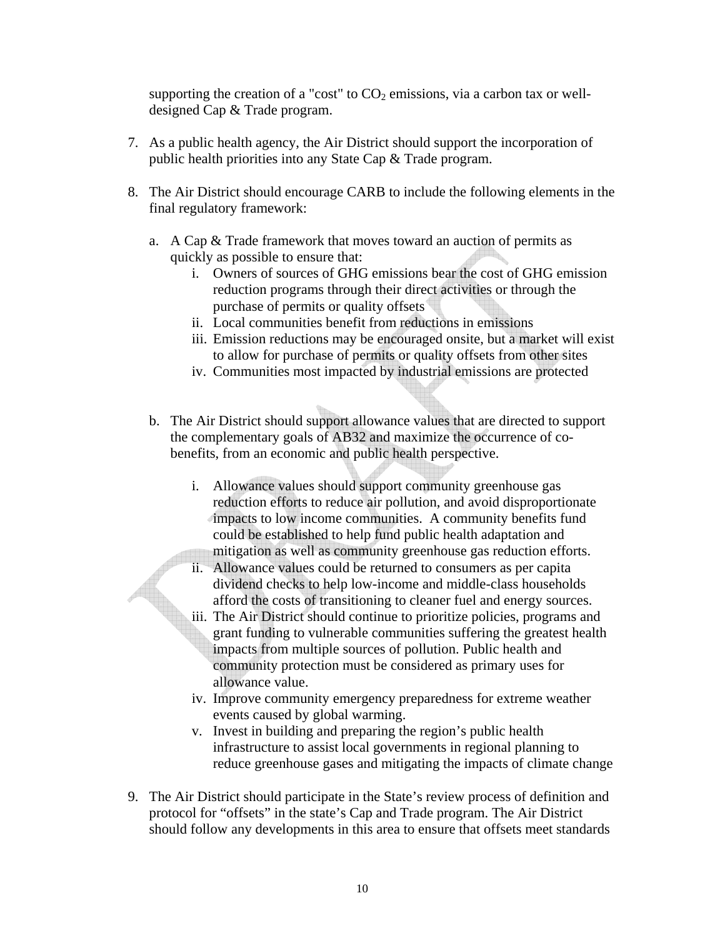supporting the creation of a "cost" to  $CO<sub>2</sub>$  emissions, via a carbon tax or welldesigned Cap & Trade program.

- 7. As a public health agency, the Air District should support the incorporation of public health priorities into any State Cap & Trade program.
- 8. The Air District should encourage CARB to include the following elements in the final regulatory framework:
	- a. A Cap & Trade framework that moves toward an auction of permits as quickly as possible to ensure that:
		- i. Owners of sources of GHG emissions bear the cost of GHG emission reduction programs through their direct activities or through the purchase of permits or quality offsets
		- ii. Local communities benefit from reductions in emissions
		- iii. Emission reductions may be encouraged onsite, but a market will exist to allow for purchase of permits or quality offsets from other sites
		- iv. Communities most impacted by industrial emissions are protected
	- b. The Air District should support allowance values that are directed to support the complementary goals of AB32 and maximize the occurrence of cobenefits, from an economic and public health perspective.
		- i. Allowance values should support community greenhouse gas reduction efforts to reduce air pollution, and avoid disproportionate impacts to low income communities. A community benefits fund could be established to help fund public health adaptation and mitigation as well as community greenhouse gas reduction efforts.
		- ii. Allowance values could be returned to consumers as per capita dividend checks to help low-income and middle-class households afford the costs of transitioning to cleaner fuel and energy sources.
		- iii. The Air District should continue to prioritize policies, programs and grant funding to vulnerable communities suffering the greatest health impacts from multiple sources of pollution. Public health and community protection must be considered as primary uses for allowance value.
		- iv. Improve community emergency preparedness for extreme weather events caused by global warming.
		- v. Invest in building and preparing the region's public health infrastructure to assist local governments in regional planning to reduce greenhouse gases and mitigating the impacts of climate change
- 9. The Air District should participate in the State's review process of definition and protocol for "offsets" in the state's Cap and Trade program. The Air District should follow any developments in this area to ensure that offsets meet standards